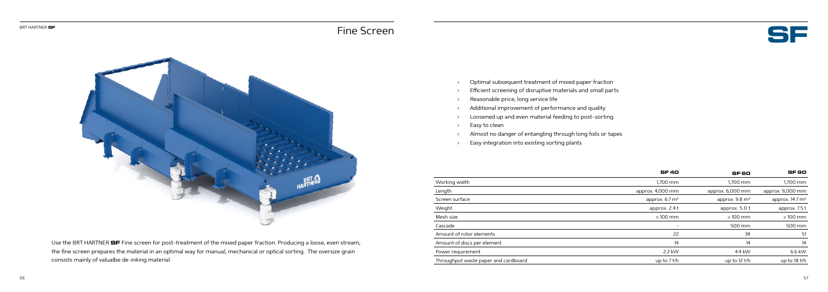



Use the BRT HARTNER **SF** Fine screen for post-treatment of the mixed paper fraction. Producing a loose, even stream, the fine screen prepares the material in an optimal way for manual, mechanical or optical sorting. The oversize grain consists mainly of valualbe de-inking material.

- › Optimal subsequent treatment of mixed paper fraction
- › Efficient screening of disruptive materials and small parts
- › Reasonable price, long service life
- › Additional improvement of performance and quality
- › Loosened up and even material feeding to post-sorting
- › Easy to clean
- › Almost no danger of entangling through long foils or tapes
- › Easy integration into existing sorting plants

|                                      | <b>SF40</b>               | SF 60                     | <b>SF90</b>                |
|--------------------------------------|---------------------------|---------------------------|----------------------------|
| Working width                        | 1,700 mm                  | 1,700 mm                  | 1,700 mm                   |
| Length                               | approx. 4,000 mm          | approx. 6,000 mm          | approx. 9,000 mm           |
| Screen surface                       | approx. $6.7 \text{ m}^2$ | approx. $9.8 \text{ m}^2$ | approx. $14.7 \text{ m}^2$ |
| Weight                               | approx. 2.4 t             | approx. $5.0 t$           | approx. 7.5 t              |
| Mesh size                            | $>100$ mm                 | $>100$ mm                 | $>100$ mm                  |
| Cascade                              | $\overline{\phantom{a}}$  | 500 mm                    | 500 mm                     |
| Amount of rotor elements             | 22                        | 34                        | 51                         |
| Amount of discs per element          | 14                        | 14                        | 14                         |
| Power requirement                    | 2.2 kW                    | 4.4 kW                    | 6.6 kW                     |
| Throughput waste paper and cardboard | up to $7$ t/h             | up to $12$ t/h            | up to 18 t/h               |